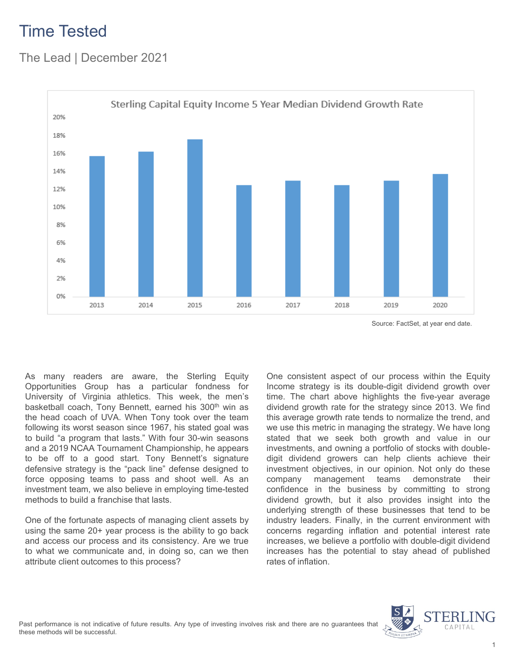## Time Tested

### The Lead | December 2021



Source: FactSet, at year end date.

As many readers are aware, the Sterling Equity Opportunities Group has a particular fondness for University of Virginia athletics. This week, the men's basketball coach, Tony Bennett, earned his 300<sup>th</sup> win as the head coach of UVA. When Tony took over the team following its worst season since 1967, his stated goal was to build "a program that lasts." With four 30-win seasons and a 2019 NCAA Tournament Championship, he appears to be off to a good start. Tony Bennett's signature defensive strategy is the "pack line" defense designed to force opposing teams to pass and shoot well. As an investment team, we also believe in employing time-tested methods to build a franchise that lasts.

One of the fortunate aspects of managing client assets by using the same 20+ year process is the ability to go back and access our process and its consistency. Are we true to what we communicate and, in doing so, can we then attribute client outcomes to this process?

One consistent aspect of our process within the Equity Income strategy is its double-digit dividend growth over time. The chart above highlights the five-year average dividend growth rate for the strategy since 2013. We find this average growth rate tends to normalize the trend, and we use this metric in managing the strategy. We have long stated that we seek both growth and value in our investments, and owning a portfolio of stocks with doubledigit dividend growers can help clients achieve their investment objectives, in our opinion. Not only do these company management teams demonstrate their confidence in the business by committing to strong dividend growth, but it also provides insight into the underlying strength of these businesses that tend to be industry leaders. Finally, in the current environment with concerns regarding inflation and potential interest rate increases, we believe a portfolio with double-digit dividend increases has the potential to stay ahead of published rates of inflation.

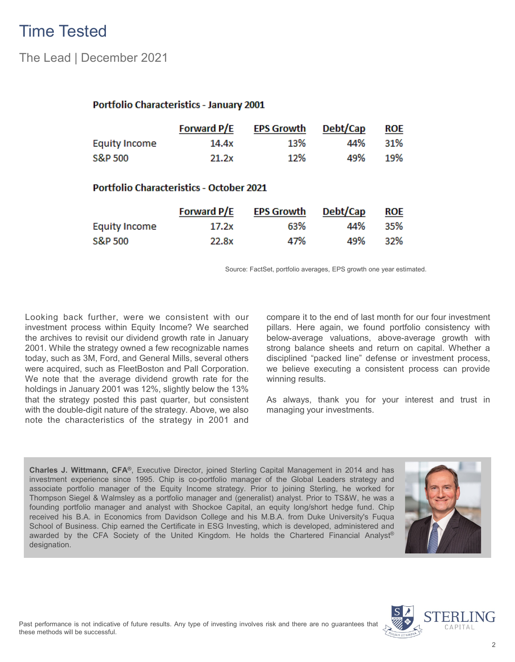## Time Tested

The Lead | December 2021

#### Portfolio Characteristics - January 2001

|                      | <b>Forward P/E</b> | EPS Growth | Debt/Cap | <b>ROE</b> |
|----------------------|--------------------|------------|----------|------------|
| <b>Equity Income</b> | 14.4x              | 13%        | 44%      | 31%        |
| S&P 500              | 21.2x              | 12%        | 49%      | 19%        |

#### **Portfolio Characteristics - October 2021**

|                      | <b>Forward P/E</b> | <b>EPS Growth</b> | Debt/Cap | ROE |
|----------------------|--------------------|-------------------|----------|-----|
| <b>Equity Income</b> | 17.2x              | 63%               | 44%      | 35% |
| S&P 500              | 22.8x              | 47%               | 49%      | 32% |

Source: FactSet, portfolio averages, EPS growth one year estimated.

Looking back further, were we consistent with our investment process within Equity Income? We searched the archives to revisit our dividend growth rate in January 2001. While the strategy owned a few recognizable names today, such as 3M, Ford, and General Mills, several others were acquired, such as FleetBoston and Pall Corporation. We note that the average dividend growth rate for the holdings in January 2001 was 12%, slightly below the 13% that the strategy posted this past quarter, but consistent with the double-digit nature of the strategy. Above, we also note the characteristics of the strategy in 2001 and compare it to the end of last month for our four investment pillars. Here again, we found portfolio consistency with below-average valuations, above-average growth with strong balance sheets and return on capital. Whether a disciplined "packed line" defense or investment process, we believe executing a consistent process can provide winning results.

As always, thank you for your interest and trust in managing your investments.

**Charles J. Wittmann, CFA®**, Executive Director, joined Sterling Capital Management in 2014 and has investment experience since 1995. Chip is co-portfolio manager of the Global Leaders strategy and associate portfolio manager of the Equity Income strategy. Prior to joining Sterling, he worked for Thompson Siegel & Walmsley as a portfolio manager and (generalist) analyst. Prior to TS&W, he was a founding portfolio manager and analyst with Shockoe Capital, an equity long/short hedge fund. Chip received his B.A. in Economics from Davidson College and his M.B.A. from Duke University's Fuqua School of Business. Chip earned the Certificate in ESG Investing, which is developed, administered and awarded by the CFA Society of the United Kingdom. He holds the Chartered Financial Analyst® designation.